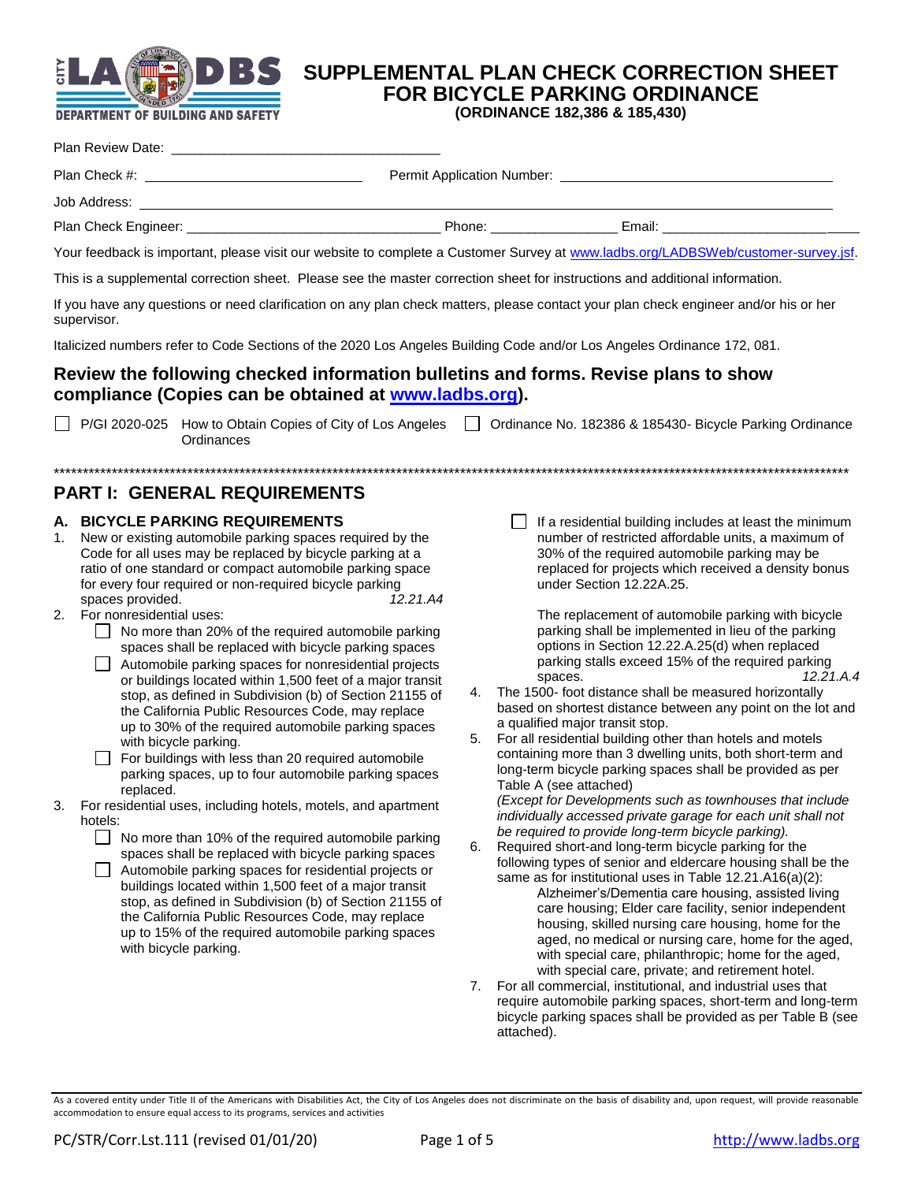

# **SUPPLEMENTAL PLAN CHECK CORRECTION SHEET FOR BICYCLE PARKING ORDINANCE**

**(ORDINANCE 182,386 & 185,430)**

| Job Address: |                                                                                                                                                                                                                                |  |
|--------------|--------------------------------------------------------------------------------------------------------------------------------------------------------------------------------------------------------------------------------|--|
|              | Phone: the contract of the contract of the contract of the contract of the contract of the contract of the contract of the contract of the contract of the contract of the contract of the contract of the contract of the con |  |
|              | Your feedback is important, please visit our website to complete a Customer Survey at www.ladbs.org/LADBSWeb/customer-survey.jsf.                                                                                              |  |

This is a supplemental correction sheet. Please see the master correction sheet for instructions and additional information.

If you have any questions or need clarification on any plan check matters, please contact your plan check engineer and/or his or her supervisor.

Italicized numbers refer to Code Sections of the 2020 Los Angeles Building Code and/or Los Angeles Ordinance 172, 081.

## **Review the following checked information bulletins and forms. Revise plans to show compliance (Copies can be obtained at [www.ladbs.org\)](http://www.ladbs.org/).**

P/GI 2020-025 How to Obtain Copies of City of Los Angeles | Cordinance No. 182386 & 185430- Bicycle Parking Ordinance **Ordinances** 

\*\*\*\*\*\*\*\*\*\*\*\*\*\*\*\*\*\*\*\*\*\*\*\*\*\*\*\*\*\*\*\*\*\*\*\*\*\*\*\*\*\*\*\*\*\*\*\*\*\*\*\*\*\*\*\*\*\*\*\*\*\*\*\*\*\*\*\*\*\*\*\*\*\*\*\*\*\*\*\*\*\*\*\*\*\*\*\*\*\*\*\*\*\*\*\*\*\*\*\*\*\*\*\*\*\*\*\*\*\*\*\*\*\*\*\*\*\*\*\*\*\*\*\*\*\*\*\*\*\*\*\*\*\*\*\*\*

# **PART I: GENERAL REQUIREMENTS**

### **A. BICYCLE PARKING REQUIREMENTS**

- 1. New or existing automobile parking spaces required by the Code for all uses may be replaced by bicycle parking at a ratio of one standard or compact automobile parking space for every four required or non-required bicycle parking spaces provided. *12.21.A4*
- 2. For nonresidential uses:
	- No more than 20% of the required automobile parking spaces shall be replaced with bicycle parking spaces
	- Automobile parking spaces for nonresidential projects or buildings located within 1,500 feet of a major transit stop, as defined in Subdivision (b) of Section 21155 of the California Public Resources Code, may replace up to 30% of the required automobile parking spaces with bicycle parking.
	- For buildings with less than 20 required automobile parking spaces, up to four automobile parking spaces replaced.
- 3. For residential uses, including hotels, motels, and apartment hotels:
	- No more than 10% of the required automobile parking spaces shall be replaced with bicycle parking spaces
	- Automobile parking spaces for residential projects or buildings located within 1,500 feet of a major transit stop, as defined in Subdivision (b) of Section 21155 of the California Public Resources Code, may replace up to 15% of the required automobile parking spaces with bicycle parking.

 $\Box$  If a residential building includes at least the minimum number of restricted affordable units, a maximum of 30% of the required automobile parking may be replaced for projects which received a density bonus under Section 12.22A.25.

The replacement of automobile parking with bicycle parking shall be implemented in lieu of the parking options in Section 12.22.A.25(d) when replaced parking stalls exceed 15% of the required parking spaces. *12.21.A.4*

- 4. The 1500- foot distance shall be measured horizontally based on shortest distance between any point on the lot and a qualified major transit stop.
- 5. For all residential building other than hotels and motels containing more than 3 dwelling units, both short-term and long-term bicycle parking spaces shall be provided as per Table A (see attached)

*(Except for Developments such as townhouses that include individually accessed private garage for each unit shall not be required to provide long-term bicycle parking).*

- 6. Required short-and long-term bicycle parking for the following types of senior and eldercare housing shall be the same as for institutional uses in Table 12.21.A16(a)(2): Alzheimer's/Dementia care housing, assisted living care housing; Elder care facility, senior independent housing, skilled nursing care housing, home for the aged, no medical or nursing care, home for the aged, with special care, philanthropic; home for the aged, with special care, private; and retirement hotel.
- 7. For all commercial, institutional, and industrial uses that require automobile parking spaces, short-term and long-term bicycle parking spaces shall be provided as per Table B (see attached).

As a covered entity under Title II of the Americans with Disabilities Act, the City of Los Angeles does not discriminate on the basis of disability and, upon request, will provide reasonable accommodation to ensure equal access to its programs, services and activities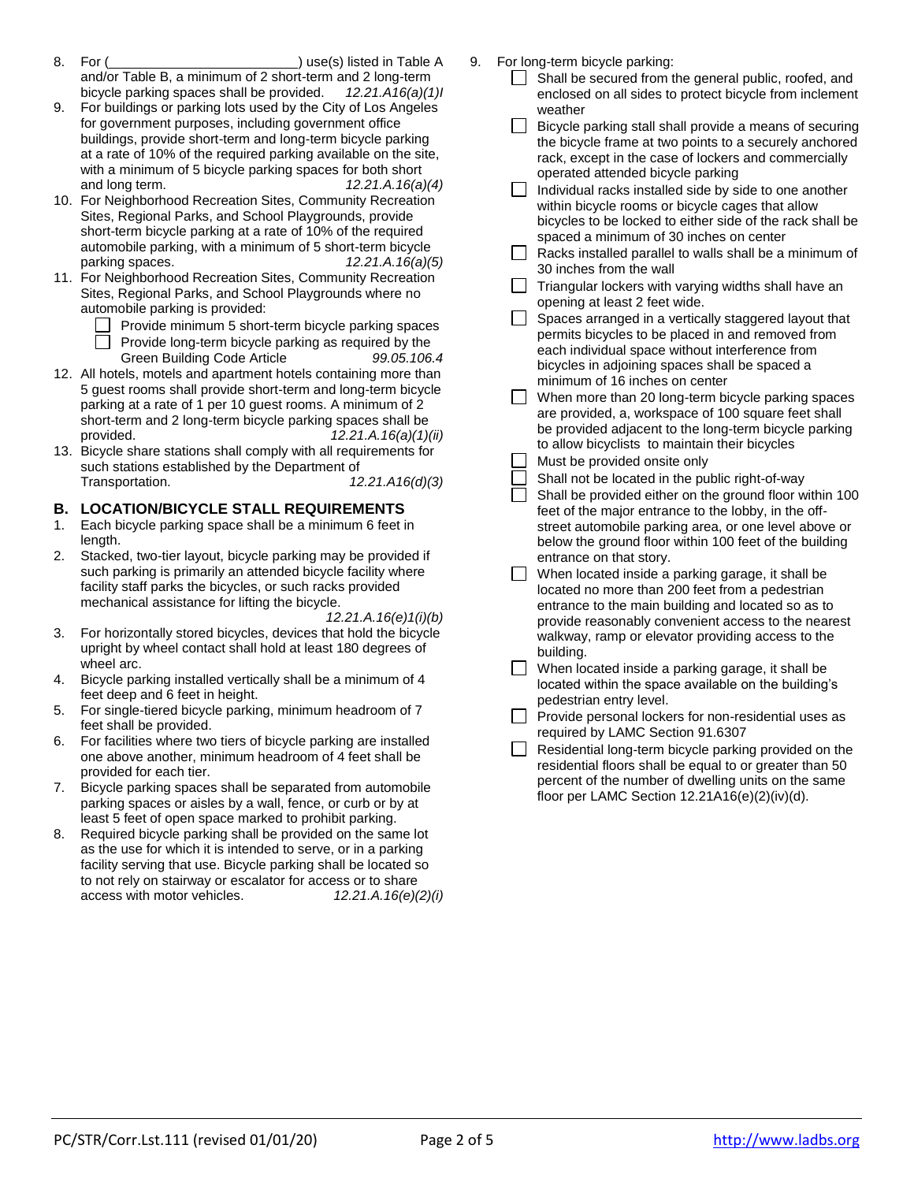- 8. For ( ) use(s) listed in Table A and/or Table B, a minimum of 2 short-term and 2 long-term bicycle parking spaces shall be provided. *12.21.A16(a)(1)I*
- 9. For buildings or parking lots used by the City of Los Angeles for government purposes, including government office buildings, provide short-term and long-term bicycle parking at a rate of 10% of the required parking available on the site, with a minimum of 5 bicycle parking spaces for both short and long term. *12.21.A.16(a)(4)*
- 10. For Neighborhood Recreation Sites, Community Recreation Sites, Regional Parks, and School Playgrounds, provide short-term bicycle parking at a rate of 10% of the required automobile parking, with a minimum of 5 short-term bicycle parking spaces. *12.21.A.16(a)(5)*
- 11. For Neighborhood Recreation Sites, Community Recreation Sites, Regional Parks, and School Playgrounds where no automobile parking is provided:
	- $\Box$  Provide minimum 5 short-term bicycle parking spaces Provide long-term bicycle parking as required by the
		- Green Building Code Article *99.05.106.4*
- 12. All hotels, motels and apartment hotels containing more than 5 guest rooms shall provide short-term and long-term bicycle parking at a rate of 1 per 10 guest rooms. A minimum of 2 short-term and 2 long-term bicycle parking spaces shall be provided. *12.21.A.16(a)(1)(ii)*
- 13. Bicycle share stations shall comply with all requirements for such stations established by the Department of Transportation. *12.21.A16(d)(3)*

# **B. LOCATION/BICYCLE STALL REQUIREMENTS**

- 1. Each bicycle parking space shall be a minimum 6 feet in length.
- 2. Stacked, two-tier layout, bicycle parking may be provided if such parking is primarily an attended bicycle facility where facility staff parks the bicycles, or such racks provided mechanical assistance for lifting the bicycle.

*12.21.A.16(e)1(i)(b)*

- 3. For horizontally stored bicycles, devices that hold the bicycle upright by wheel contact shall hold at least 180 degrees of wheel arc.
- 4. Bicycle parking installed vertically shall be a minimum of 4 feet deep and 6 feet in height.
- 5. For single-tiered bicycle parking, minimum headroom of 7 feet shall be provided.
- 6. For facilities where two tiers of bicycle parking are installed one above another, minimum headroom of 4 feet shall be provided for each tier.
- 7. Bicycle parking spaces shall be separated from automobile parking spaces or aisles by a wall, fence, or curb or by at least 5 feet of open space marked to prohibit parking.
- 8. Required bicycle parking shall be provided on the same lot as the use for which it is intended to serve, or in a parking facility serving that use. Bicycle parking shall be located so to not rely on stairway or escalator for access or to share access with motor vehicles. *12.21.A.16(e)(2)(i)*
- 9. For long-term bicycle parking:
	- $\Box$  Shall be secured from the general public, roofed, and enclosed on all sides to protect bicycle from inclement weather
	- Bicycle parking stall shall provide a means of securing the bicycle frame at two points to a securely anchored rack, except in the case of lockers and commercially operated attended bicycle parking
	- $\Box$  Individual racks installed side by side to one another within bicycle rooms or bicycle cages that allow bicycles to be locked to either side of the rack shall be spaced a minimum of 30 inches on center
	- $\Box$  Racks installed parallel to walls shall be a minimum of 30 inches from the wall
	- Triangular lockers with varying widths shall have an opening at least 2 feet wide.
	- Spaces arranged in a vertically staggered layout that permits bicycles to be placed in and removed from each individual space without interference from bicycles in adjoining spaces shall be spaced a minimum of 16 inches on center
	- When more than 20 long-term bicycle parking spaces are provided, a, workspace of 100 square feet shall be provided adjacent to the long-term bicycle parking to allow bicyclists to maintain their bicycles
	- Must be provided onsite only
	- Shall not be located in the public right-of-way
	- Shall be provided either on the ground floor within 100 feet of the major entrance to the lobby, in the offstreet automobile parking area, or one level above or below the ground floor within 100 feet of the building entrance on that story.
	- $\Box$  When located inside a parking garage, it shall be located no more than 200 feet from a pedestrian entrance to the main building and located so as to provide reasonably convenient access to the nearest walkway, ramp or elevator providing access to the building.
	- When located inside a parking garage, it shall be located within the space available on the building's pedestrian entry level.
	- $\Box$  Provide personal lockers for non-residential uses as required by LAMC Section 91.6307
	- Residential long-term bicycle parking provided on the residential floors shall be equal to or greater than 50 percent of the number of dwelling units on the same floor per LAMC Section 12.21A16(e)(2)(iv)(d).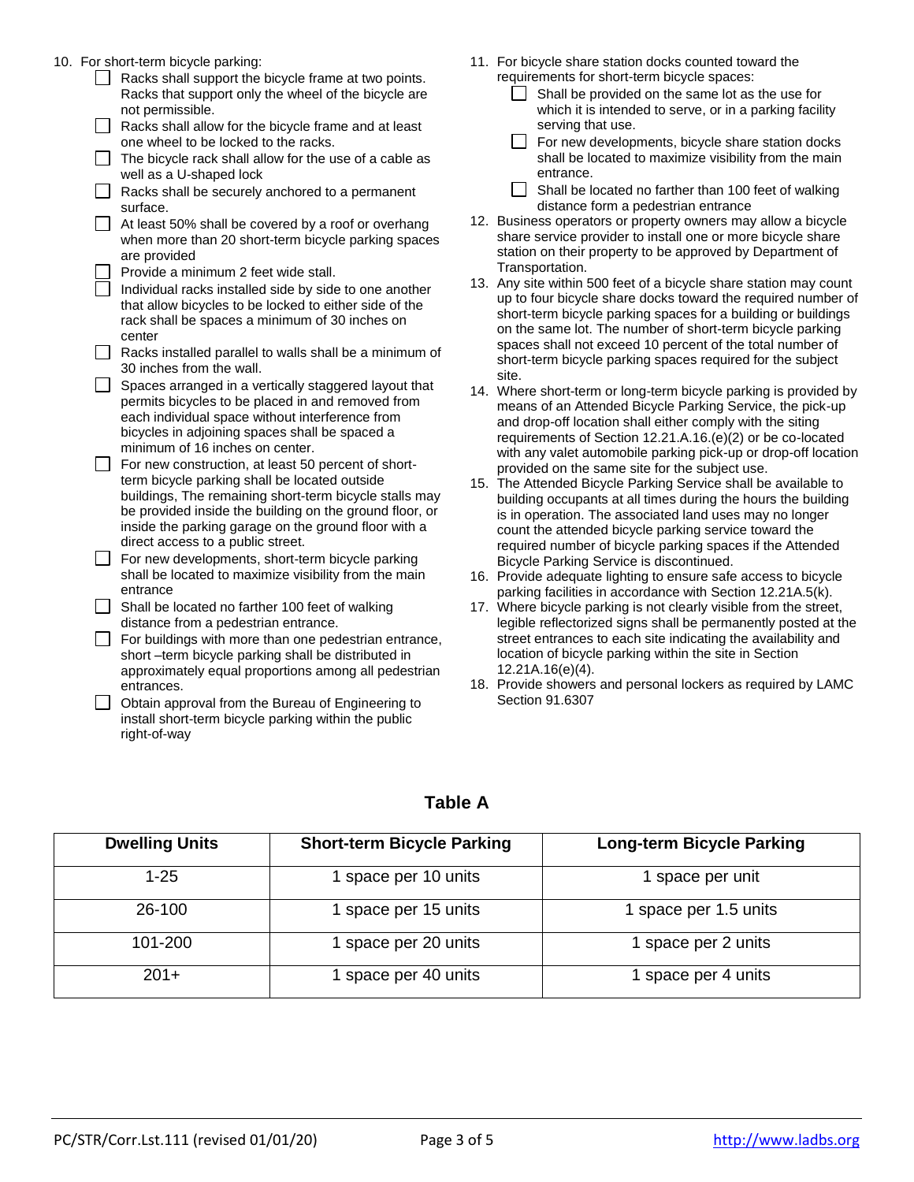10. For short-term bicvcle parking:

| anon tonn bioyoic panning.                                                                                                                                                                                                                                      |     |
|-----------------------------------------------------------------------------------------------------------------------------------------------------------------------------------------------------------------------------------------------------------------|-----|
| Racks shall support the bicycle frame at two points.<br>Racks that support only the wheel of the bicycle are                                                                                                                                                    |     |
| not permissible.                                                                                                                                                                                                                                                |     |
| Racks shall allow for the bicycle frame and at least<br>one wheel to be locked to the racks.                                                                                                                                                                    |     |
|                                                                                                                                                                                                                                                                 |     |
| The bicycle rack shall allow for the use of a cable as<br>well as a U-shaped lock                                                                                                                                                                               |     |
| Racks shall be securely anchored to a permanent<br>surface.                                                                                                                                                                                                     |     |
| At least 50% shall be covered by a roof or overhang                                                                                                                                                                                                             | 12. |
| when more than 20 short-term bicycle parking spaces                                                                                                                                                                                                             |     |
| are provided                                                                                                                                                                                                                                                    |     |
| Provide a minimum 2 feet wide stall.                                                                                                                                                                                                                            | 13. |
| Individual racks installed side by side to one another                                                                                                                                                                                                          |     |
| that allow bicycles to be locked to either side of the                                                                                                                                                                                                          |     |
| rack shall be spaces a minimum of 30 inches on                                                                                                                                                                                                                  |     |
| center                                                                                                                                                                                                                                                          |     |
| Racks installed parallel to walls shall be a minimum of<br>30 inches from the wall.                                                                                                                                                                             |     |
| Spaces arranged in a vertically staggered layout that<br>permits bicycles to be placed in and removed from<br>each individual space without interference from<br>bicycles in adjoining spaces shall be spaced a<br>minimum of 16 inches on center.              | 14. |
| For new construction, at least 50 percent of short-                                                                                                                                                                                                             |     |
| term bicycle parking shall be located outside<br>buildings, The remaining short-term bicycle stalls may<br>be provided inside the building on the ground floor, or<br>inside the parking garage on the ground floor with a<br>direct access to a public street. | 15. |
| For new developments, short-term bicycle parking                                                                                                                                                                                                                |     |
| shall be located to maximize visibility from the main<br>entrance                                                                                                                                                                                               | 16. |
| Shall be located no farther 100 feet of walking                                                                                                                                                                                                                 | 17. |
| distance from a pedestrian entrance.                                                                                                                                                                                                                            |     |
| For buildings with more than one pedestrian entrance,                                                                                                                                                                                                           |     |
| short-term bicycle parking shall be distributed in                                                                                                                                                                                                              |     |
| approximately equal proportions among all pedestrian                                                                                                                                                                                                            |     |
| entrances                                                                                                                                                                                                                                                       | 18. |

**D** Obtain approval from the Bureau of Engineering to install short-term bicycle parking within the public right-of-way

- 11. For bicycle share station docks counted toward the requirements for short-term bicycle spaces:
	- $\Box$  Shall be provided on the same lot as the use for which it is intended to serve, or in a parking facility serving that use.
	- $\Box$  For new developments, bicycle share station docks shall be located to maximize visibility from the main entrance.
	- $\Box$  Shall be located no farther than 100 feet of walking distance form a pedestrian entrance
- Business operators or property owners may allow a bicycle share service provider to install one or more bicycle share station on their property to be approved by Department of Transportation.
- Any site within 500 feet of a bicycle share station may count up to four bicycle share docks toward the required number of short-term bicycle parking spaces for a building or buildings on the same lot. The number of short-term bicycle parking spaces shall not exceed 10 percent of the total number of short-term bicycle parking spaces required for the subject site.
- Where short-term or long-term bicycle parking is provided by means of an Attended Bicycle Parking Service, the pick-up and drop-off location shall either comply with the siting requirements of Section 12.21.A.16.(e)(2) or be co-located with any valet automobile parking pick-up or drop-off location provided on the same site for the subject use.
- The Attended Bicycle Parking Service shall be available to building occupants at all times during the hours the building is in operation. The associated land uses may no longer count the attended bicycle parking service toward the required number of bicycle parking spaces if the Attended Bicycle Parking Service is discontinued.
- Provide adequate lighting to ensure safe access to bicycle parking facilities in accordance with Section 12.21A.5(k).
- Where bicycle parking is not clearly visible from the street, legible reflectorized signs shall be permanently posted at the street entrances to each site indicating the availability and location of bicycle parking within the site in Section 12.21A.16(e)(4).
- 18. Provide showers and personal lockers as required by LAMC Section 91.6307

| <b>Table A</b> |  |  |
|----------------|--|--|
|                |  |  |

| <b>Dwelling Units</b> | <b>Short-term Bicycle Parking</b> | <b>Long-term Bicycle Parking</b> |
|-----------------------|-----------------------------------|----------------------------------|
| 1-25                  | 1 space per 10 units              | 1 space per unit                 |
| 26-100                | 1 space per 15 units              | 1 space per 1.5 units            |
| 101-200               | 1 space per 20 units              | 1 space per 2 units              |
| $201+$                | I space per 40 units              | 1 space per 4 units              |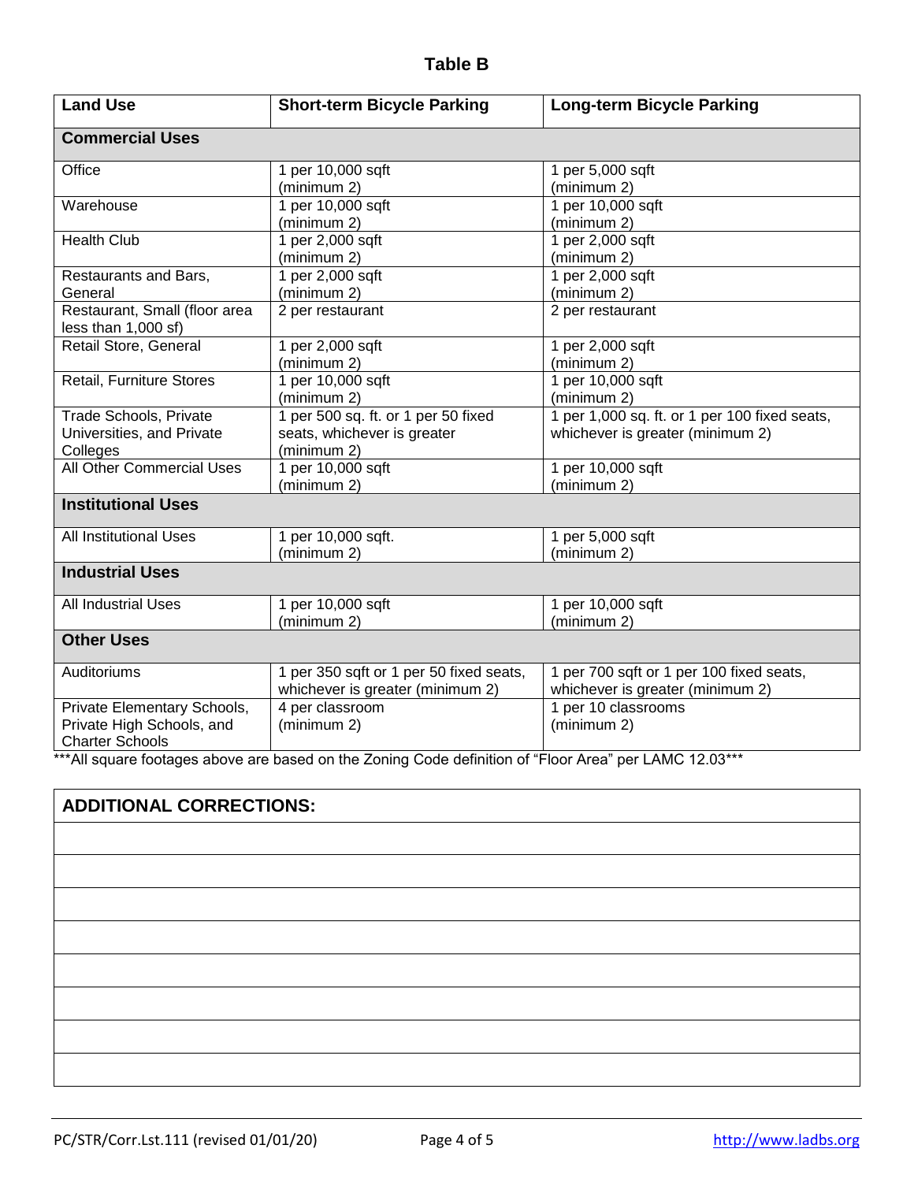# **Table B**

| <b>Land Use</b>                                                                    | <b>Short-term Bicycle Parking</b>                                                 | <b>Long-term Bicycle Parking</b>                                                  |
|------------------------------------------------------------------------------------|-----------------------------------------------------------------------------------|-----------------------------------------------------------------------------------|
| <b>Commercial Uses</b>                                                             |                                                                                   |                                                                                   |
| Office                                                                             | 1 per 10,000 sqft<br>(minimum 2)                                                  | 1 per 5,000 sqft<br>(minimum 2)                                                   |
| Warehouse                                                                          | 1 per 10,000 sqft<br>(minimum 2)                                                  | 1 per 10,000 sqft<br>(minimum 2)                                                  |
| <b>Health Club</b>                                                                 | 1 per 2,000 sqft<br>(minimum 2)                                                   | 1 per 2,000 sqft<br>(minimum 2)                                                   |
| Restaurants and Bars,<br>General                                                   | 1 per 2,000 sqft<br>(minimum 2)                                                   | 1 per 2,000 sqft<br>(minimum 2)                                                   |
| Restaurant, Small (floor area<br>less than 1,000 sf)                               | 2 per restaurant                                                                  | 2 per restaurant                                                                  |
| Retail Store, General                                                              | 1 per 2,000 sqft<br>(minimum 2)                                                   | 1 per 2,000 sqft<br>(minimum 2)                                                   |
| Retail, Furniture Stores                                                           | 1 per 10,000 sqft<br>(minimum 2)                                                  | 1 per 10,000 sqft<br>(minimum 2)                                                  |
| Trade Schools, Private<br>Universities, and Private<br>Colleges                    | 1 per 500 sq. ft. or 1 per 50 fixed<br>seats, whichever is greater<br>(minimum 2) | 1 per 1,000 sq. ft. or 1 per 100 fixed seats,<br>whichever is greater (minimum 2) |
| All Other Commercial Uses                                                          | 1 per 10,000 sqft<br>(minimum 2)                                                  | 1 per 10,000 sqft<br>(minimum 2)                                                  |
| <b>Institutional Uses</b>                                                          |                                                                                   |                                                                                   |
| <b>All Institutional Uses</b>                                                      | 1 per 10,000 sqft.<br>(minimum 2)                                                 | 1 per 5,000 sqft<br>(minimum 2)                                                   |
| <b>Industrial Uses</b>                                                             |                                                                                   |                                                                                   |
| All Industrial Uses                                                                | 1 per 10,000 sqft<br>(minimum 2)                                                  | 1 per 10,000 sqft<br>(minimum 2)                                                  |
| <b>Other Uses</b>                                                                  |                                                                                   |                                                                                   |
| Auditoriums                                                                        | 1 per 350 sqft or 1 per 50 fixed seats,<br>whichever is greater (minimum 2)       | 1 per 700 sqft or 1 per 100 fixed seats,<br>whichever is greater (minimum 2)      |
| Private Elementary Schools,<br>Private High Schools, and<br><b>Charter Schools</b> | 4 per classroom<br>(minimum 2)                                                    | 1 per 10 classrooms<br>(minimum 2)                                                |

\*\*\*All square footages above are based on the Zoning Code definition of "Floor Area" per LAMC 12.03\*\*\*

# **ADDITIONAL CORRECTIONS:**